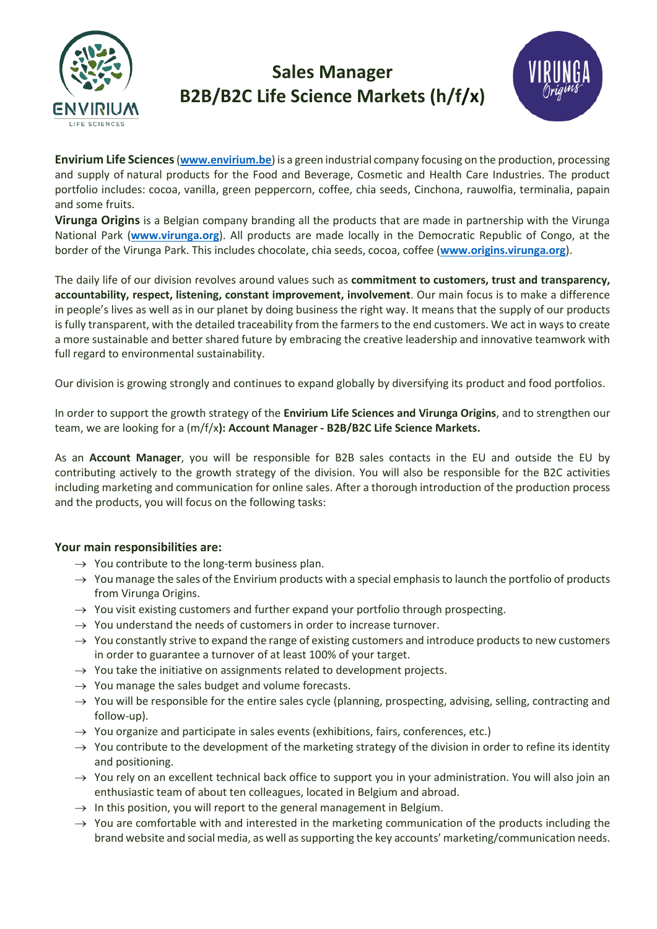

# **Sales Manager B2B/B2C Life Science Markets (h/f/x)**



**Envirium Life Sciences**(**[www.envirium.be](http://www.envirium.be/)**) is a green industrial company focusing on the production, processing and supply of natural products for the Food and Beverage, Cosmetic and Health Care Industries. The product portfolio includes: cocoa, vanilla, green peppercorn, coffee, chia seeds, Cinchona, rauwolfia, terminalia, papain and some fruits.

**Virunga Origins** is a Belgian company branding all the products that are made in partnership with the Virunga National Park (**[www.virunga.org](http://www.virunga.org/)**). All products are made locally in the Democratic Republic of Congo, at the border of the Virunga Park. This includes chocolate, chia seeds, cocoa, coffee (**[www.origins.virunga.org](http://www.origins.virunga.org/)**).

The daily life of our division revolves around values such as **commitment to customers, trust and transparency, accountability, respect, listening, constant improvement, involvement**. Our main focus is to make a difference in people's lives as well as in our planet by doing business the right way. It means that the supply of our products is fully transparent, with the detailed traceability from the farmers to the end customers. We act in ways to create a more sustainable and better shared future by embracing the creative leadership and innovative teamwork with full regard to environmental sustainability.

Our division is growing strongly and continues to expand globally by diversifying its product and food portfolios.

In order to support the growth strategy of the **Envirium Life Sciences and Virunga Origins**, and to strengthen our team, we are looking for a (m/f/x**): Account Manager - B2B/B2C Life Science Markets.**

As an **Account Manager**, you will be responsible for B2B sales contacts in the EU and outside the EU by contributing actively to the growth strategy of the division. You will also be responsible for the B2C activities including marketing and communication for online sales. After a thorough introduction of the production process and the products, you will focus on the following tasks:

### **Your main responsibilities are:**

- $\rightarrow$  You contribute to the long-term business plan.
- $\rightarrow$  You manage the sales of the Envirium products with a special emphasis to launch the portfolio of products from Virunga Origins.
- $\rightarrow$  You visit existing customers and further expand your portfolio through prospecting.
- $\rightarrow$  You understand the needs of customers in order to increase turnover.
- $\rightarrow$  You constantly strive to expand the range of existing customers and introduce products to new customers in order to guarantee a turnover of at least 100% of your target.
- $\rightarrow$  You take the initiative on assignments related to development projects.
- $\rightarrow$  You manage the sales budget and volume forecasts.
- $\rightarrow$  You will be responsible for the entire sales cycle (planning, prospecting, advising, selling, contracting and follow-up).
- $\rightarrow$  You organize and participate in sales events (exhibitions, fairs, conferences, etc.)
- $\rightarrow$  You contribute to the development of the marketing strategy of the division in order to refine its identity and positioning.
- $\rightarrow$  You rely on an excellent technical back office to support you in your administration. You will also join an enthusiastic team of about ten colleagues, located in Belgium and abroad.
- $\rightarrow$  In this position, you will report to the general management in Belgium.
- $\rightarrow$  You are comfortable with and interested in the marketing communication of the products including the brand website and social media, as well as supporting the key accounts' marketing/communication needs.